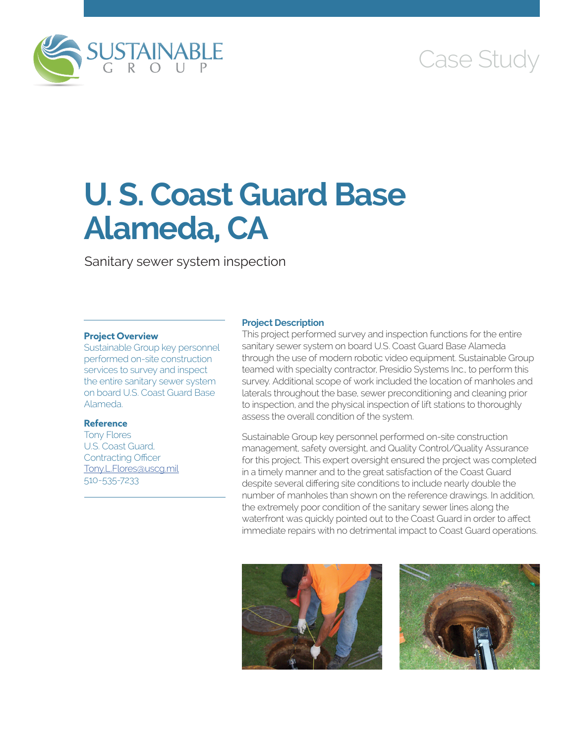

# Case Study

# **U. S. Coast Guard Base Alameda, CA**

Sanitary sewer system inspection

#### **Project Overview**

Sustainable Group key personnel performed on-site construction services to survey and inspect the entire sanitary sewer system on board U.S. Coast Guard Base Alameda.

#### **Reference**

Tony Flores U.S. Coast Guard, Contracting Officer [Tony.L.Flores@uscg.mil](mailto:Tony.L.Flores@uscg.mil) 510-535-7233

#### **Project Description**

This project performed survey and inspection functions for the entire sanitary sewer system on board U.S. Coast Guard Base Alameda through the use of modern robotic video equipment. Sustainable Group teamed with specialty contractor, Presidio Systems Inc., to perform this survey. Additional scope of work included the location of manholes and laterals throughout the base, sewer preconditioning and cleaning prior to inspection, and the physical inspection of lift stations to thoroughly assess the overall condition of the system.

Sustainable Group key personnel performed on-site construction management, safety oversight, and Quality Control/Quality Assurance for this project. This expert oversight ensured the project was completed in a timely manner and to the great satisfaction of the Coast Guard despite several differing site conditions to include nearly double the number of manholes than shown on the reference drawings. In addition, the extremely poor condition of the sanitary sewer lines along the waterfront was quickly pointed out to the Coast Guard in order to affect immediate repairs with no detrimental impact to Coast Guard operations.